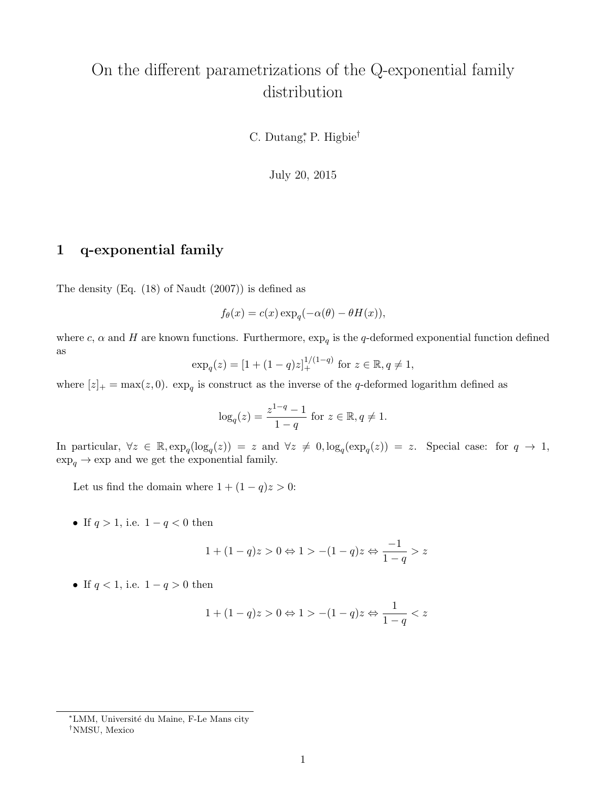# On the different parametrizations of the Q-exponential family distribution

C. Dutang<sup>\*</sup>, P. Higbie<sup>†</sup>

July 20, 2015

#### 1 q-exponential family

The density (Eq. (18) of Naudt (2007)) is defined as

$$
f_{\theta}(x) = c(x) \exp_{q}(-\alpha(\theta) - \theta H(x)),
$$

where c,  $\alpha$  and H are known functions. Furthermore,  $\exp_q$  is the q-deformed exponential function defined as

$$
\exp_q(z) = [1 + (1 - q)z]_+^{1/(1-q)} \text{ for } z \in \mathbb{R}, q \neq 1,
$$

where  $[z]_+ = \max(z, 0)$ .  $\exp_q$  is construct as the inverse of the q-deformed logarithm defined as

$$
log_q(z) = \frac{z^{1-q} - 1}{1-q}
$$
 for  $z \in \mathbb{R}, q \neq 1$ .

In particular,  $\forall z \in \mathbb{R}, \exp_q(\log_q(z)) = z$  and  $\forall z \neq 0, \log_q(\exp_q(z)) = z$ . Special case: for  $q \to 1$ ,  $\exp_q\rightarrow \exp$  and we get the exponential family.

Let us find the domain where  $1 + (1 - q)z > 0$ :

• If  $q > 1$ , i.e.  $1 - q < 0$  then

$$
1 + (1 - q)z > 0 \Leftrightarrow 1 > -(1 - q)z \Leftrightarrow \frac{-1}{1 - q} > z
$$

• If  $q < 1$ , i.e.  $1 - q > 0$  then

$$
1+(1-q)z>0\Leftrightarrow 1>-(1-q)z\Leftrightarrow \frac{1}{1-q}
$$

<sup>∗</sup>LMM, Universit´e du Maine, F-Le Mans city †NMSU, Mexico